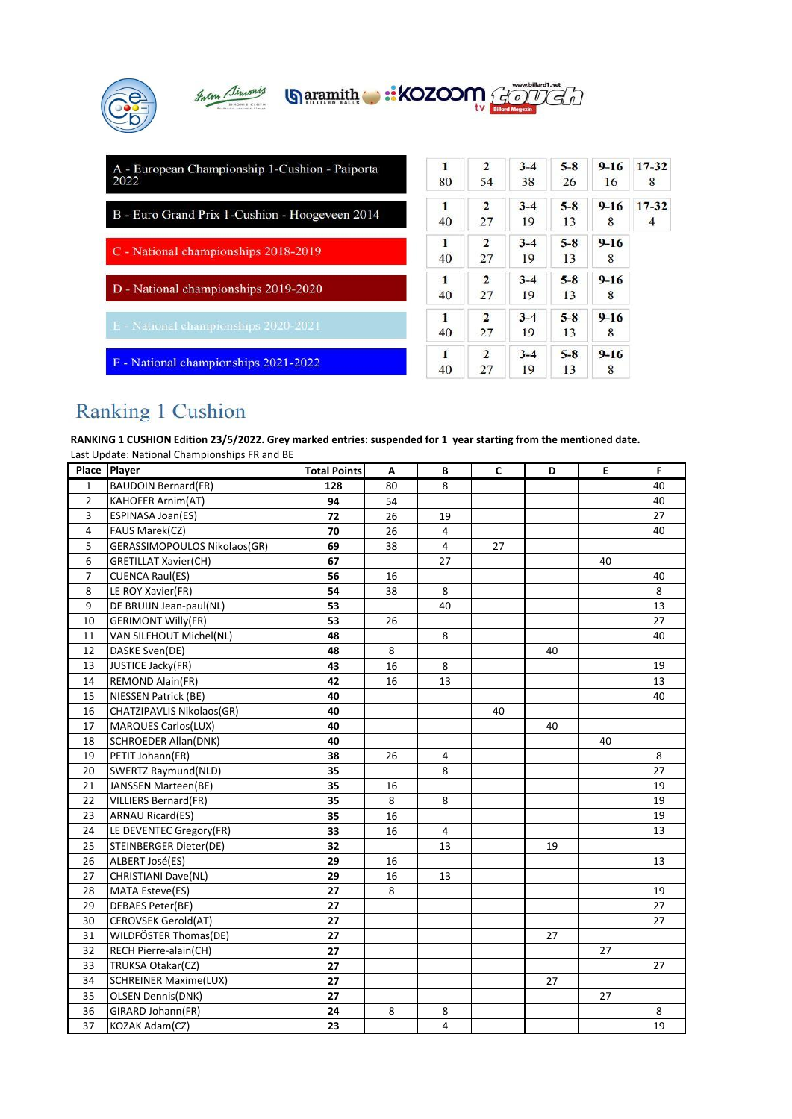| Juan Simonis<br><b>Garamith : KOZOOM</b>               |                      |                      | www.billard1.net<br><b>Billard Mogazir</b> |               |                |                             |
|--------------------------------------------------------|----------------------|----------------------|--------------------------------------------|---------------|----------------|-----------------------------|
| A - European Championship 1-Cushion - Paiporta<br>2022 | $\blacksquare$<br>80 | $\overline{2}$<br>54 | $3 - 4$<br>38                              | $5 - 8$<br>26 | $9 - 16$<br>16 | $17 - 32$<br>8              |
| B - Euro Grand Prix 1-Cushion - Hoogeveen 2014         | 1<br>40              | $\overline{2}$<br>27 | $3 - 4$<br>19                              | $5 - 8$<br>13 | $9 - 16$<br>8  | $17 - 32$<br>$\overline{4}$ |
| C - National championships 2018-2019                   | 1<br>40              | $\overline{2}$<br>27 | $3 - 4$<br>19                              | $5 - 8$<br>13 | $9 - 16$<br>8  |                             |
| D - National championships 2019-2020                   | $\blacksquare$<br>40 | $\overline{2}$<br>27 | $3 - 4$<br>19                              | $5 - 8$<br>13 | $9 - 16$<br>8  |                             |
| E - National championships 2020-2021                   | 1<br>40              | $\overline{2}$<br>27 | $3 - 4$<br>19                              | $5 - 8$<br>13 | $9 - 16$<br>8  |                             |
| F - National championships 2021-2022                   | 1<br>40              | $\overline{2}$<br>27 | $3 - 4$<br>19                              | $5 - 8$<br>13 | $9 - 16$<br>8  |                             |

## Ranking 1 Cushion

**RANKING 1 CUSHION Edition 23/5/2022. Grey marked entries: suspended for 1 year starting from the mentioned date.** Last Update: National Championships FR and BE

| Place          | Player                       | <b>Total Points</b> | A  | B  | C  | D  | E  | F  |
|----------------|------------------------------|---------------------|----|----|----|----|----|----|
| $\mathbf{1}$   | <b>BAUDOIN Bernard(FR)</b>   | 128                 | 80 | 8  |    |    |    | 40 |
| $\overline{2}$ | <b>KAHOFER Arnim(AT)</b>     | 94                  | 54 |    |    |    |    | 40 |
| 3              | <b>ESPINASA Joan(ES)</b>     | 72                  | 26 | 19 |    |    |    | 27 |
| 4              | FAUS Marek(CZ)               | 70                  | 26 | 4  |    |    |    | 40 |
| 5              | GERASSIMOPOULOS Nikolaos(GR) | 69                  | 38 | 4  | 27 |    |    |    |
| 6              | <b>GRETILLAT Xavier(CH)</b>  | 67                  |    | 27 |    |    | 40 |    |
| $\overline{7}$ | <b>CUENCA Raul(ES)</b>       | 56                  | 16 |    |    |    |    | 40 |
| 8              | LE ROY Xavier(FR)            | 54                  | 38 | 8  |    |    |    | 8  |
| 9              | DE BRUIJN Jean-paul(NL)      | 53                  |    | 40 |    |    |    | 13 |
| 10             | <b>GERIMONT Willy(FR)</b>    | 53                  | 26 |    |    |    |    | 27 |
| 11             | VAN SILFHOUT Michel(NL)      | 48                  |    | 8  |    |    |    | 40 |
| 12             | DASKE Sven(DE)               | 48                  | 8  |    |    | 40 |    |    |
| 13             | JUSTICE Jacky(FR)            | 43                  | 16 | 8  |    |    |    | 19 |
| 14             | <b>REMOND Alain(FR)</b>      | 42                  | 16 | 13 |    |    |    | 13 |
| 15             | <b>NIESSEN Patrick (BE)</b>  | 40                  |    |    |    |    |    | 40 |
| 16             | CHATZIPAVLIS Nikolaos(GR)    | 40                  |    |    | 40 |    |    |    |
| 17             | <b>MARQUES Carlos(LUX)</b>   | 40                  |    |    |    | 40 |    |    |
| 18             | <b>SCHROEDER Allan(DNK)</b>  | 40                  |    |    |    |    | 40 |    |
| 19             | PETIT Johann(FR)             | 38                  | 26 | 4  |    |    |    | 8  |
| 20             | SWERTZ Raymund(NLD)          | 35                  |    | 8  |    |    |    | 27 |
| 21             | JANSSEN Marteen(BE)          | 35                  | 16 |    |    |    |    | 19 |
| 22             | VILLIERS Bernard(FR)         | 35                  | 8  | 8  |    |    |    | 19 |
| 23             | <b>ARNAU Ricard(ES)</b>      | 35                  | 16 |    |    |    |    | 19 |
| 24             | LE DEVENTEC Gregory(FR)      | 33                  | 16 | 4  |    |    |    | 13 |
| 25             | STEINBERGER Dieter(DE)       | 32                  |    | 13 |    | 19 |    |    |
| 26             | ALBERT José(ES)              | 29                  | 16 |    |    |    |    | 13 |
| 27             | <b>CHRISTIANI Dave(NL)</b>   | 29                  | 16 | 13 |    |    |    |    |
| 28             | <b>MATA Esteve(ES)</b>       | 27                  | 8  |    |    |    |    | 19 |
| 29             | DEBAES Peter(BE)             | 27                  |    |    |    |    |    | 27 |
| 30             | <b>CEROVSEK Gerold(AT)</b>   | 27                  |    |    |    |    |    | 27 |
| 31             | WILDFÖSTER Thomas(DE)        | 27                  |    |    |    | 27 |    |    |
| 32             | RECH Pierre-alain(CH)        | 27                  |    |    |    |    | 27 |    |
| 33             | TRUKSA Otakar(CZ)            | 27                  |    |    |    |    |    | 27 |
| 34             | <b>SCHREINER Maxime(LUX)</b> | 27                  |    |    |    | 27 |    |    |
| 35             | <b>OLSEN Dennis(DNK)</b>     | 27                  |    |    |    |    | 27 |    |
| 36             | GIRARD Johann(FR)            | 24                  | 8  | 8  |    |    |    | 8  |
| 37             | KOZAK Adam(CZ)               | 23                  |    | 4  |    |    |    | 19 |